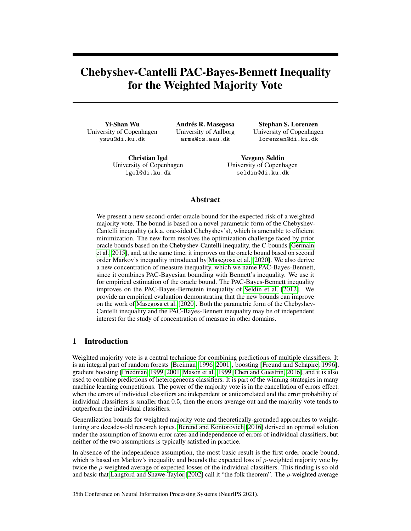# Chebyshev-Cantelli PAC-Bayes-Bennett Inequality for the Weighted Majority Vote

Yi-Shan Wu University of Copenhagen yswu@di.ku.dk

Andrés R. Masegosa University of Aalborg arma@cs.aau.dk

Stephan S. Lorenzen University of Copenhagen lorenzen@di.ku.dk

Christian Igel University of Copenhagen igel@di.ku.dk

Yevgeny Seldin University of Copenhagen seldin@di.ku.dk

# Abstract

We present a new second-order oracle bound for the expected risk of a weighted majority vote. The bound is based on a novel parametric form of the Chebyshev-Cantelli inequality (a.k.a. one-sided Chebyshev's), which is amenable to efficient minimization. The new form resolves the optimization challenge faced by prior oracle bounds based on the Chebyshev-Cantelli inequality, the C-bounds [\[Germain](#page-10-0) [et al., 2015\]](#page-10-0), and, at the same time, it improves on the oracle bound based on second order Markov's inequality introduced by [Masegosa et al.](#page-11-0) [\[2020\]](#page-11-0). We also derive a new concentration of measure inequality, which we name PAC-Bayes-Bennett, since it combines PAC-Bayesian bounding with Bennett's inequality. We use it for empirical estimation of the oracle bound. The PAC-Bayes-Bennett inequality improves on the PAC-Bayes-Bernstein inequality of [Seldin et al.](#page-11-1) [\[2012\]](#page-11-1). We provide an empirical evaluation demonstrating that the new bounds can improve on the work of [Masegosa et al.](#page-11-0) [\[2020\]](#page-11-0). Both the parametric form of the Chebyshev-Cantelli inequality and the PAC-Bayes-Bennett inequality may be of independent interest for the study of concentration of measure in other domains.

# 1 Introduction

Weighted majority vote is a central technique for combining predictions of multiple classifiers. It is an integral part of random forests [\[Breiman, 1996,](#page-10-1) [2001\]](#page-10-2), boosting [\[Freund and Schapire, 1996\]](#page-10-3), gradient boosting [\[Friedman, 1999,](#page-10-4) [2001,](#page-10-5) [Mason et al., 1999,](#page-11-2) [Chen and Guestrin, 2016\]](#page-10-6), and it is also used to combine predictions of heterogeneous classifiers. It is part of the winning strategies in many machine learning competitions. The power of the majority vote is in the cancellation of errors effect: when the errors of individual classifiers are independent or anticorrelated and the error probability of individual classifiers is smaller than 0.5, then the errors average out and the majority vote tends to outperform the individual classifiers.

Generalization bounds for weighted majority vote and theoretically-grounded approaches to weighttuning are decades-old research topics. [Berend and Kontorovich](#page-10-7) [\[2016\]](#page-10-7) derived an optimal solution under the assumption of known error rates and independence of errors of individual classifiers, but neither of the two assumptions is typically satisfied in practice.

In absence of the independence assumption, the most basic result is the first order oracle bound, which is based on Markov's inequality and bounds the expected loss of  $\rho$ -weighted majority vote by twice the  $\rho$ -weighted average of expected losses of the individual classifiers. This finding is so old and basic that [Langford and Shawe-Taylor](#page-10-8) [\[2002\]](#page-10-8) call it "the folk theorem". The  $\rho$ -weighted average

35th Conference on Neural Information Processing Systems (NeurIPS 2021).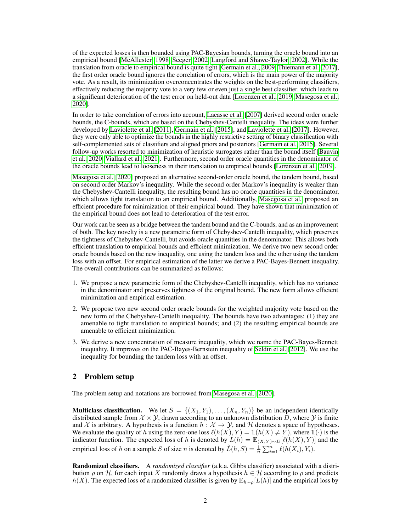of the expected losses is then bounded using PAC-Bayesian bounds, turning the oracle bound into an empirical bound [\[McAllester, 1998,](#page-11-3) [Seeger, 2002,](#page-11-4) [Langford and Shawe-Taylor, 2002\]](#page-10-8). While the translation from oracle to empirical bound is quite tight [\[Germain et al., 2009,](#page-10-9) [Thiemann et al., 2017\]](#page-11-5), the first order oracle bound ignores the correlation of errors, which is the main power of the majority vote. As a result, its minimization overconcentrates the weights on the best-performing classifiers, effectively reducing the majority vote to a very few or even just a single best classifier, which leads to a significant deterioration of the test error on held-out data [\[Lorenzen et al., 2019,](#page-11-6) [Masegosa et al.,](#page-11-0) [2020\]](#page-11-0).

In order to take correlation of errors into account, [Lacasse et al.](#page-10-10) [\[2007\]](#page-10-10) derived second order oracle bounds, the C-bounds, which are based on the Chebyshev-Cantelli inequality. The ideas were further developed by [Laviolette et al.](#page-10-11) [\[2011\]](#page-10-11), [Germain et al.](#page-10-0) [\[2015\]](#page-10-0), and [Laviolette et al.](#page-10-12) [\[2017\]](#page-10-12). However, they were only able to optimize the bounds in the highly restrictive setting of binary classification with self-complemented sets of classifiers and aligned priors and posteriors [\[Germain et al., 2015\]](#page-10-0). Several follow-up works resorted to minimization of heuristic surrogates rather than the bound itself [\[Bauvin](#page-10-13) [et al., 2020,](#page-10-13) [Viallard et al., 2021\]](#page-11-7). Furthermore, second order oracle quantities in the denominator of the oracle bounds lead to looseness in their translation to empirical bounds [\[Lorenzen et al., 2019\]](#page-11-6).

[Masegosa et al.](#page-11-0) [\[2020\]](#page-11-0) proposed an alternative second-order oracle bound, the tandem bound, based on second order Markov's inequality. While the second order Markov's inequality is weaker than the Chebyshev-Cantelli inequality, the resulting bound has no oracle quantities in the denominator, which allows tight translation to an empirical bound. Additionally, [Masegosa et al.](#page-11-0) proposed an efficient procedure for minimization of their empirical bound. They have shown that minimization of the empirical bound does not lead to deterioration of the test error.

Our work can be seen as a bridge between the tandem bound and the C-bounds, and as an improvement of both. The key novelty is a new parametric form of Chebyshev-Cantelli inequality, which preserves the tightness of Chebyshev-Cantelli, but avoids oracle quantities in the denominator. This allows both efficient translation to empirical bounds and efficient minimization. We derive two new second order oracle bounds based on the new inequality, one using the tandem loss and the other using the tandem loss with an offset. For empirical estimation of the latter we derive a PAC-Bayes-Bennett inequality. The overall contributions can be summarized as follows:

- 1. We propose a new parametric form of the Chebyshev-Cantelli inequality, which has no variance in the denominator and preserves tightness of the original bound. The new form allows efficient minimization and empirical estimation.
- 2. We propose two new second order oracle bounds for the weighted majority vote based on the new form of the Chebyshev-Cantelli inequality. The bounds have two advantages: (1) they are amenable to tight translation to empirical bounds; and (2) the resulting empirical bounds are amenable to efficient minimization.
- 3. We derive a new concentration of measure inequality, which we name the PAC-Bayes-Bennett inequality. It improves on the PAC-Bayes-Bernstein inequality of [Seldin et al.](#page-11-1) [\[2012\]](#page-11-1). We use the inequality for bounding the tandem loss with an offset.

# 2 Problem setup

The problem setup and notations are borrowed from [Masegosa et al.](#page-11-0) [\[2020\]](#page-11-0).

**Multiclass classification.** We let  $S = \{(X_1, Y_1), \ldots, (X_n, Y_n)\}\)$  be an independent identically distributed sample from  $\mathcal{X} \times \mathcal{Y}$ , drawn according to an unknown distribution D, where  $\mathcal{Y}$  is finite and X is arbitrary. A hypothesis is a function  $h : \mathcal{X} \to \mathcal{Y}$ , and H denotes a space of hypotheses. We evaluate the quality of h using the zero-one loss  $\ell(h(X), Y) = 1(h(X) \neq Y)$ , where  $1(\cdot)$  is the indicator function. The expected loss of h is denoted by  $L(h) = \mathbb{E}_{(X,Y)\sim D}[\ell(h(X), Y)]$  and the empirical loss of h on a sample S of size n is denoted by  $\hat{L}(h, S) = \frac{1}{n} \sum_{i=1}^{n} \ell(h(X_i), Y_i)$ .

Randomized classifiers. A *randomized classifier* (a.k.a. Gibbs classifier) associated with a distribution  $\rho$  on H, for each input X randomly draws a hypothesis  $h \in \mathcal{H}$  according to  $\rho$  and predicts  $h(X)$ . The expected loss of a randomized classifier is given by  $\mathbb{E}_{h \sim \rho}[L(h)]$  and the empirical loss by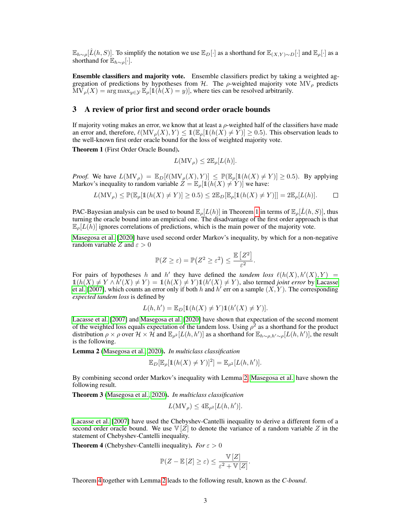$\mathbb{E}_{h\sim\rho}[\hat{L}(h, S)]$ . To simplify the notation we use  $\mathbb{E}_{D}[\cdot]$  as a shorthand for  $\mathbb{E}_{(X,Y)\sim D}[\cdot]$  and  $\mathbb{E}_{\rho}[\cdot]$  as a shorthand for  $\mathbb{E}_{h \sim \rho}[\cdot]$ .

Ensemble classifiers and majority vote. Ensemble classifiers predict by taking a weighted aggregation of predictions by hypotheses from  $H$ . The  $\rho$ -weighted majority vote MV<sub> $\rho$ </sub> predicts  $MV_{\rho}(X) = \arg \max_{y \in \mathcal{Y}} \mathbb{E}_{\rho}[\mathbb{1}(h(X) = y)],$  where ties can be resolved arbitrarily.

#### 3 A review of prior first and second order oracle bounds

If majority voting makes an error, we know that at least a  $\rho$ -weighted half of the classifiers have made an error and, therefore,  $\ell(MV_{\rho}(X), Y) \leq 1(\mathbb{E}_{\rho}[1(h(X) \neq Y)] \geq 0.5)$ . This observation leads to the well-known first order oracle bound for the loss of weighted majority vote.

<span id="page-2-0"></span>Theorem 1 (First Order Oracle Bound).

$$
L(MV_{\rho}) \leq 2\mathbb{E}_{\rho}[L(h)].
$$

*Proof.* We have  $L(MV_\rho) = \mathbb{E}_D[\ell(MV_\rho(X), Y)] \leq \mathbb{P}(\mathbb{E}_\rho[1(h(X) \neq Y)] \geq 0.5)$ . By applying Markov's inequality to random variable  $Z = \mathbb{E}_{\rho}[\mathbb{1}(h(X) \neq Y)]$  we have:

$$
L(MV_{\rho}) \leq \mathbb{P}(\mathbb{E}_{\rho}[\mathbb{1}(h(X) \neq Y)] \geq 0.5) \leq 2\mathbb{E}_{D}[\mathbb{E}_{\rho}[\mathbb{1}(h(X) \neq Y)]] = 2\mathbb{E}_{\rho}[L(h)]. \qquad \Box
$$

PAC-Bayesian analysis can be used to bound  $\mathbb{E}_{\rho}[L(h)]$  in Theorem [1](#page-2-0) in terms of  $\mathbb{E}_{\rho}[\hat{L}(h, S)]$ , thus turning the oracle bound into an empirical one. The disadvantage of the first order approach is that  $\mathbb{E}_{\rho}[L(h)]$  ignores correlations of predictions, which is the main power of the majority vote.

[Masegosa et al.](#page-11-0) [\[2020\]](#page-11-0) have used second order Markov's inequality, by which for a non-negative random variable Z and  $\varepsilon > 0$ 

$$
\mathbb{P}(Z \geq \varepsilon) = \mathbb{P}\big(Z^2 \geq \varepsilon^2\big) \leq \frac{\mathbb{E}\left[Z^2\right]}{\varepsilon^2}.
$$

For pairs of hypotheses h and h' they have defined the *tandem loss*  $\ell(h(X), h'(X), Y) =$  $\mathbb{1}(h(X) \neq Y \land h'(X) \neq Y) = \mathbb{1}(h(X) \neq Y) \mathbb{1}(h'(X) \neq Y)$ , also termed *joint error* by [Lacasse](#page-10-10) [et al.](#page-10-10) [\[2007\]](#page-10-10), which counts an error only if both h and h' err on a sample  $(X, Y)$ . The corresponding *expected tandem loss* is defined by

$$
L(h, h') = \mathbb{E}_D[\mathbb{1}(h(X) \neq Y)\mathbb{1}(h'(X) \neq Y)].
$$

[Lacasse et al.](#page-10-10) [\[2007\]](#page-10-10) and [Masegosa et al.](#page-11-0) [\[2020\]](#page-11-0) have shown that expectation of the second moment of the weighted loss equals expectation of the tandem loss. Using  $\rho^2$  as a shorthand for the product distribution  $\rho \times \rho$  over  $\mathcal{H} \times \mathcal{H}$  and  $\mathbb{E}_{\rho^2}[L(h, h')]$  as a shorthand for  $\mathbb{E}_{h \sim \rho, h' \sim \rho}[L(h, h')]$ , the result is the following.

<span id="page-2-1"></span>Lemma 2 [\(Masegosa et al., 2020\)](#page-11-0). *In multiclass classification*

$$
\mathbb{E}_D[\mathbb{E}_{\rho}[\mathbb{1}(h(X) \neq Y)]^2] = \mathbb{E}_{\rho^2}[L(h, h')].
$$

By combining second order Markov's inequality with Lemma [2,](#page-2-1) [Masegosa et al.](#page-11-0) have shown the following result.

<span id="page-2-3"></span>Theorem 3 [\(Masegosa et al., 2020\)](#page-11-0). *In multiclass classification*

$$
L(MV_{\rho}) \leq 4\mathbb{E}_{\rho^2}[L(h, h')].
$$

[Lacasse et al.](#page-10-10) [\[2007\]](#page-10-10) have used the Chebyshev-Cantelli inequality to derive a different form of a second order oracle bound. We use  $\mathbb{V}[Z]$  to denote the variance of a random variable Z in the statement of Chebyshev-Cantelli inequality.

<span id="page-2-2"></span>**Theorem 4** (Chebyshev-Cantelli inequality). *For*  $\varepsilon > 0$ 

$$
\mathbb{P}(Z - \mathbb{E}[Z] \ge \varepsilon) \le \frac{\mathbb{V}[Z]}{\varepsilon^2 + \mathbb{V}[Z]}.
$$

Theorem [4](#page-2-2) together with Lemma [2](#page-2-1) leads to the following result, known as the *C-bound*.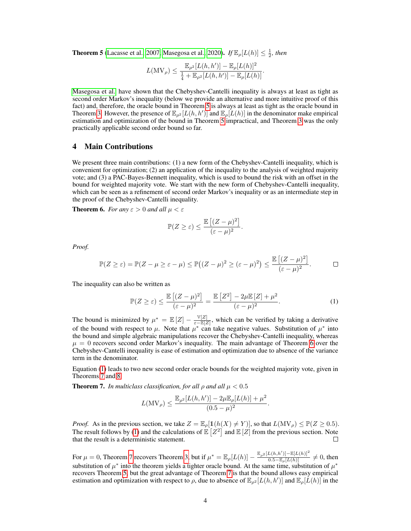<span id="page-3-0"></span>**Theorem 5** [\(Lacasse et al., 2007,](#page-10-10) [Masegosa et al., 2020\)](#page-11-0). *If*  $\mathbb{E}_{\rho}[L(h)] \leq \frac{1}{2}$ , then

$$
L(\mathrm{MV}_\rho)\leq \frac{\mathbb{E}_{\rho^2}[L(h,h')]-\mathbb{E}_{\rho}[L(h)]^2}{\frac{1}{4}+\mathbb{E}_{\rho^2}[L(h,h')]-\mathbb{E}_{\rho}[L(h)]}.
$$

[Masegosa et al.](#page-11-0) have shown that the Chebyshev-Cantelli inequality is always at least as tight as second order Markov's inequality (below we provide an alternative and more intuitive proof of this fact) and, therefore, the oracle bound in Theorem [5](#page-3-0) is always at least as tight as the oracle bound in Theorem [3.](#page-2-3) However, the presence of  $\mathbb{E}_{\rho^2}[L(h, h')]$  and  $\mathbb{E}_{\rho}[L(h)]$  in the denominator make empirical estimation and optimization of the bound in Theorem [5](#page-3-0) impractical, and Theorem [3](#page-2-3) was the only practically applicable second order bound so far.

## 4 Main Contributions

We present three main contributions: (1) a new form of the Chebyshev-Cantelli inequality, which is convenient for optimization; (2) an application of the inequality to the analysis of weighted majority vote; and (3) a PAC-Bayes-Bennett inequality, which is used to bound the risk with an offset in the bound for weighted majority vote. We start with the new form of Chebyshev-Cantelli inequality, which can be seen as a refinement of second order Markov's inequality or as an intermediate step in the proof of the Chebyshev-Cantelli inequality.

<span id="page-3-1"></span>**Theorem 6.** *For any*  $\varepsilon > 0$  *and all*  $\mu < \varepsilon$ 

$$
\mathbb{P}(Z \geq \varepsilon) \leq \frac{\mathbb{E}\left[ (Z - \mu)^2 \right]}{(\varepsilon - \mu)^2}.
$$

*Proof.*

$$
\mathbb{P}(Z \geq \varepsilon) = \mathbb{P}(Z - \mu \geq \varepsilon - \mu) \leq \mathbb{P}((Z - \mu)^2 \geq (\varepsilon - \mu)^2) \leq \frac{\mathbb{E}[(Z - \mu)^2]}{(\varepsilon - \mu)^2}.
$$

The inequality can also be written as

<span id="page-3-2"></span>
$$
\mathbb{P}(Z \ge \varepsilon) \le \frac{\mathbb{E}\left[ (Z - \mu)^2 \right]}{(\varepsilon - \mu)^2} = \frac{\mathbb{E}\left[ Z^2 \right] - 2\mu \mathbb{E}\left[ Z \right] + \mu^2}{(\varepsilon - \mu)^2}.
$$
 (1)

The bound is minimized by  $\mu^* = \mathbb{E}[Z] - \frac{\mathbb{V}[Z]}{\varepsilon - \mathbb{E}[Z]}$  $\frac{\sqrt{2}}{\epsilon - \mathbb{E}[Z]}$ , which can be verified by taking a derivative of the bound with respect to  $\mu$ . Note that  $\mu^*$  can take negative values. Substitution of  $\mu^*$  into the bound and simple algebraic manipulations recover the Chebyshev-Cantelli inequality, whereas  $\mu = 0$  recovers second order Markov's inequality. The main advantage of Theorem [6](#page-3-1) over the Chebyshev-Cantelli inequality is ease of estimation and optimization due to absence of the variance term in the denominator.

Equation [\(1\)](#page-3-2) leads to two new second order oracle bounds for the weighted majority vote, given in Theorems [7](#page-3-3) and [8.](#page-4-0)

<span id="page-3-3"></span>**Theorem 7.** *In multiclass classification, for all*  $\rho$  *and all*  $\mu < 0.5$ 

$$
L(MV_{\rho}) \le \frac{\mathbb{E}_{\rho^2}[L(h, h')] - 2\mu \mathbb{E}_{\rho}[L(h)] + \mu^2}{(0.5 - \mu)^2}.
$$

*Proof.* As in the previous section, we take  $Z = \mathbb{E}_{\rho}[\mathbb{1}(h(X) \neq Y)]$ , so that  $L(\text{MV}_{\rho}) \leq \mathbb{P}(Z \geq 0.5)$ . The result follows by [\(1\)](#page-3-2) and the calculations of  $\mathbb{E}[Z^2]$  and  $\mathbb{E}[Z]$  from the previous section. Note that the result is a deterministic statement.  $\Box$ 

For  $\mu = 0$ , Theorem [7](#page-3-3) recovers Theorem [3,](#page-2-3) but if  $\mu^* = \mathbb{E}_{\rho}[L(h)] - \frac{\mathbb{E}_{\rho^2}[L(h,h')] - \mathbb{E}[L(h)]^2}{0.5 - \mathbb{E}_{\rho}[L(h)]} \neq 0$ , then substitution of  $\mu^*$  into the theorem yields a tighter oracle bound. At the same time, substitution of  $\mu^*$ recovers Theorem [5,](#page-3-0) but the great advantage of Theorem [7](#page-3-3) is that the bound allows easy empirical estimation and optimization with respect to  $\rho$ , due to absence of  $\mathbb{E}_{\rho^2}[L(h, h')]$  and  $\mathbb{E}_{\rho}[\tilde{L}(h)]$  in the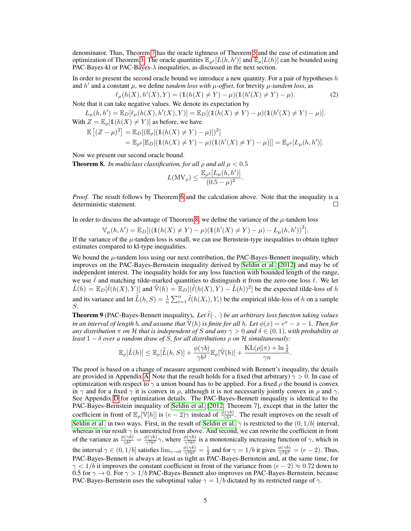denominator. Thus, Theorem [7](#page-3-3) has the oracle tightness of Theorem [5](#page-3-0) and the ease of estimation and optimization of Theorem [3.](#page-2-3) The oracle quantities  $\mathbb{E}_{\rho^2}[L(h, h')]$  and  $\mathbb{E}_{\rho}[L(h)]$  can be bounded using PAC-Bayes-kl or PAC-Bayes- $\lambda$  inequalities, as discussed in the next section.

In order to present the second oracle bound we introduce a new quantity. For a pair of hypotheses  $h$ and  $h'$  and a constant  $\mu$ , we define *tandem loss with*  $\mu$ -offset, for brevity  $\mu$ -tandem loss, as

$$
\ell_{\mu}(h(X), h'(X), Y) = (\mathbb{1}(h(X) \neq Y) - \mu)(\mathbb{1}(h'(X) \neq Y) - \mu).
$$
 (2)

Note that it can take negative values. We denote its expectation by

 $L_{\mu}(h, h') = \mathbb{E}_D[\ell_{\mu}(h(X), h'(X), Y)] = \mathbb{E}_D[(\mathbb{1}(h(X) \neq Y) - \mu)(\mathbb{1}(h'(X) \neq Y) - \mu)].$ With  $Z = \mathbb{E}_{\rho}[\mathbb{1}(h(X) \neq Y)]$  as before, we have

$$
\mathbb{E}[(Z-\mu)^2] = \mathbb{E}_D[(\mathbb{E}_\rho[(\mathbb{1}(h(X) \neq Y) - \mu)])^2]
$$
  
=  $\mathbb{E}_{\rho^2}[\mathbb{E}_D[(\mathbb{1}(h(X) \neq Y) - \mu)(\mathbb{1}(h'(X) \neq Y) - \mu)]] = \mathbb{E}_{\rho^2}[L_\mu(h, h')].$ 

Now we present our second oracle bound.

<span id="page-4-0"></span>**Theorem 8.** *In multiclass classification, for all*  $\rho$  *and all*  $\mu < 0.5$ 

<span id="page-4-2"></span>
$$
L(\mathrm{MV}_\rho)\leq \frac{\mathbb{E}_{\rho^2}[L_\mu(h,h')]}{(0.5-\mu)^2}.
$$

*Proof.* The result follows by Theorem [6](#page-3-1) and the calculation above. Note that the inequality is a deterministic statement.  $\Box$ 

In order to discuss the advantage of Theorem [8,](#page-4-0) we define the variance of the  $\mu$ -tandem loss

$$
\mathbb{V}_{\mu}(h, h') = \mathbb{E}_{D} [((\mathbb{1}(h(X) \neq Y) - \mu)(\mathbb{1}(h'(X) \neq Y) - \mu) - L_{\mu}(h, h'))^{2}].
$$

If the variance of the  $\mu$ -tandem loss is small, we can use Bernstein-type inequalities to obtain tighter estimates compared to kl-type inequalities.

We bound the  $\mu$ -tandem loss using our next contribution, the PAC-Bayes-Bennett inequality, which improves on the PAC-Bayes-Bernstein inequality derived by [Seldin et al.](#page-11-1) [\[2012\]](#page-11-1) and may be of independent interest. The inequality holds for any loss function with bounded length of the range, we use  $\ell$  and matching tilde-marked quantities to distinguish it from the zero-one loss  $\ell$ . We let  $\tilde{L}(h) = \mathbb{E}_D[\tilde{\ell}(h(X), Y)]$  and  $\tilde{\mathbb{V}}(h) = \mathbb{E}_D[(\tilde{\ell}(h(X), Y) - \tilde{L}(h))^2]$  be the expected tilde-loss of h and its variance and let  $\hat{L}(h, S) = \frac{1}{n} \sum_{i=1}^{n} \tilde{\ell}(h(X_i), Y_i)$  be the empirical tilde-loss of h on a sample S.

<span id="page-4-1"></span>**Theorem 9** (PAC-Bayes-Bennett inequality). Let  $\ell(\cdot, \cdot)$  be an arbitrary loss function taking values *in an interval of length b, and assume that*  $\tilde{V}(h)$  *is finite for all h. Let*  $\phi(x) = e^x - x - 1$ *. Then for any distribution*  $\pi$  *on*  $H$  *that is independent of* S *and any*  $\gamma > 0$  *and*  $\delta \in (0, 1)$ *, with probability at least*  $1 - \delta$  *over a random draw of* S, for all distributions  $\rho$  on H simultaneously:

$$
\mathbb{E}_{\rho}[\tilde{L}(h)] \leq \mathbb{E}_{\rho}[\hat{\tilde{L}}(h,S)] + \frac{\phi(\gamma b)}{\gamma b^2} \mathbb{E}_{\rho}[\tilde{\mathbb{V}}(h)] + \frac{\mathrm{KL}(\rho||\pi) + \ln\frac{1}{\delta}}{\gamma n}
$$

.

The proof is based on a change of measure argument combined with Bennett's inequality, the details are provided in Appendix [A.](#page--1-0) Note that the result holds for a fixed (but arbitrary)  $\gamma > 0$ . In case of optimization with respect to  $\gamma$  a union bound has to be applied. For a fixed  $\rho$  the bound is convex in  $\gamma$  and for a fixed  $\gamma$  it is convex in  $\rho$ , although it is not necessarily jointly convex in  $\rho$  and  $\gamma$ . See Appendix [D](#page--1-1) for optimization details. The PAC-Bayes-Bennett inequality is identical to the PAC-Bayes-Bernstein inequality of [Seldin et al.](#page-11-1) [\[2012,](#page-11-1) Theorem 7], except that in the latter the coefficient in front of  $\mathbb{E}_{\rho}[\tilde{\mathbb{V}}[h]]$  is  $(e-2)\gamma$  instead of  $\frac{\phi(\gamma b)}{\gamma b^2}$ . The result improves on the result of [Seldin et al.](#page-11-1) in two ways. First, in the result of [Seldin et al.](#page-11-1)  $\gamma$  is restricted to the  $(0, 1/b]$  interval, whereas in our result  $\gamma$  is unrestricted from above. And second, we can rewrite the coefficient in front of the variance as  $\frac{\phi(\gamma b)}{\gamma^{b2}} = \frac{\phi(\gamma b)}{\gamma^{2}b^{2}}\gamma$ , where  $\frac{\phi(\gamma b)}{\gamma^{2}b^{2}}$  is a monotonically increasing function of  $\gamma$ , which in the interval  $\gamma \in (0, 1/b]$  satisfies  $\lim_{\gamma \to 0} \frac{\phi(\gamma b)}{\gamma^2 b^2} = \frac{1}{2}$  and for  $\gamma = 1/b$  it gives  $\frac{\phi(\gamma b)}{\gamma^2 b^2} = (e - 2)$ . Thus, PAC-Bayes-Bennett is always at least as tight as PAC-Bayes-Bernstein and, at the same time, for  $\gamma$  < 1/b it improves the constant coefficient in front of the variance from  $(e - 2) \approx 0.72$  down to 0.5 for  $\gamma \to 0$ . For  $\gamma > 1/b$  PAC-Bayes-Bennett also improves on PAC-Bayes-Bernstein, because PAC-Bayes-Bernstein uses the suboptimal value  $\gamma = 1/b$  dictated by its restricted range of  $\gamma$ .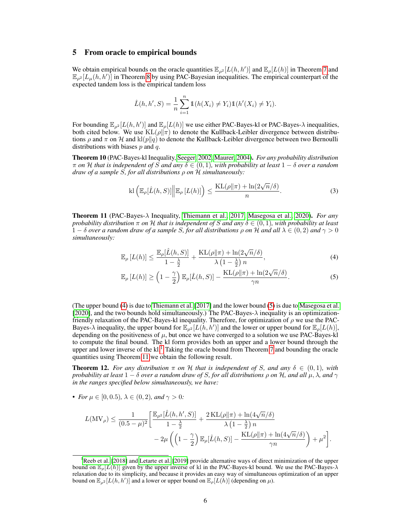#### 5 From oracle to empirical bounds

We obtain empirical bounds on the oracle quantities  $\mathbb{E}_{\rho^2}[L(h, h')]$  and  $\mathbb{E}_{\rho}[L(h)]$  in Theorem [7](#page-3-3) and  $\mathbb{E}_{\rho^2}[L_\mu(h, h')]$  in Theorem [8](#page-4-0) by using PAC-Bayesian inequalities. The empirical counterpart of the expected tandem loss is the empirical tandem loss

$$
\hat{L}(h, h', S) = \frac{1}{n} \sum_{i=1}^{n} \mathbb{1}(h(X_i) \neq Y_i) \mathbb{1}(h'(X_i) \neq Y_i).
$$

For bounding  $\mathbb{E}_{\rho^2}[L(h, h')]$  and  $\mathbb{E}_{\rho}[L(h)]$  we use either PAC-Bayes-kl or PAC-Bayes- $\lambda$  inequalities, both cited below. We use  $KL(\rho||\pi)$  to denote the Kullback-Leibler divergence between distributions  $\rho$  and  $\pi$  on H and kl(p||q) to denote the Kullback-Leibler divergence between two Bernoulli distributions with biases  $p$  and  $q$ .

Theorem 10 (PAC-Bayes-kl Inequality, [Seeger, 2002,](#page-11-4) [Maurer, 2004\)](#page-11-8). *For any probability distribution* π *on* H *that is independent of* S *and any* δ ∈ (0, 1)*, with probability at least* 1 − δ *over a random draw of a sample* S*, for all distributions* ρ *on* H *simultaneously:*

$$
\mathrm{kl}\left(\mathbb{E}_{\rho}[\hat{L}(h,S)] \middle| \mathbb{E}_{\rho}\left[L(h)\right]\right) \leq \frac{\mathrm{KL}(\rho||\pi) + \ln(2\sqrt{n}/\delta)}{n}.\tag{3}
$$

Theorem 11 (PAC-Bayes-λ Inequality, [Thiemann et al., 2017,](#page-11-5) [Masegosa et al., 2020\)](#page-11-0). *For any probability distribution*  $\pi$  *on*  $\mathcal{H}$  *that is independent of* S *and any*  $\delta \in (0,1)$ *, with probability at least*  $1 - \delta$  *over a random draw of a sample* S, for all distributions  $\rho$  *on* H and all  $\lambda \in (0, 2)$  and  $\gamma > 0$ *simultaneously:*

<span id="page-5-0"></span>
$$
\mathbb{E}_{\rho}\left[L(h)\right] \le \frac{\mathbb{E}_{\rho}[\hat{L}(h,S)]}{1-\frac{\lambda}{2}} + \frac{\mathrm{KL}(\rho\|\pi) + \ln(2\sqrt{n}/\delta)}{\lambda\left(1-\frac{\lambda}{2}\right)n},\tag{4}
$$

<span id="page-5-1"></span>
$$
\mathbb{E}_{\rho}\left[L(h)\right] \geq \left(1 - \frac{\gamma}{2}\right) \mathbb{E}_{\rho}[\hat{L}(h, S)] - \frac{\mathrm{KL}(\rho \| \pi) + \ln(2\sqrt{n}/\delta)}{\gamma n}.\tag{5}
$$

(The upper bound [\(4\)](#page-5-0) is due to [Thiemann et al.](#page-11-5) [\[2017\]](#page-11-5) and the lower bound [\(5\)](#page-5-1) is due to [Masegosa et al.](#page-11-0)  $[2020]$ , and the two bounds hold simultaneously.) The PAC-Bayes- $\lambda$  inequality is an optimizationfriendly relaxation of the PAC-Bayes-kl inequality. Therefore, for optimization of  $\rho$  we use the PAC-Bayes- $\lambda$  inequality, the upper bound for  $\mathbb{E}_{\rho^2}[L(h, h')]$  and the lower or upper bound for  $\mathbb{E}_{\rho}[L(h)]$ , depending on the positiveness of  $\mu$ , but once we have converged to a solution we use PAC-Bayes-kl to compute the final bound. The kl form provides both an upper and a lower bound through the upper and lower inverse of the kl.<sup>[1](#page-5-2)</sup> Taking the oracle bound from Theorem [7](#page-3-3) and bounding the oracle quantities using Theorem [11](#page-5-1) we obtain the following result.

<span id="page-5-3"></span>**Theorem 12.** For any distribution  $\pi$  on H that is independent of S, and any  $\delta \in (0,1)$ , with *probability at least*  $1 - \delta$  *over a random draw of S, for all distributions*  $\rho$  *on*  $H$ *, and all*  $\mu$ *,*  $\lambda$ *, and*  $\gamma$ *in the ranges specified below simultaneously, we have:*

• *For*  $\mu \in [0, 0.5)$ ,  $\lambda \in (0, 2)$ *, and*  $\gamma > 0$ *:* 

$$
\begin{aligned} L(\text{MV}_{\rho}) & \leq \frac{1}{(0.5-\mu)^2}\bigg[\frac{\mathbb{E}_{\rho^2}[\hat{L}(h,h',S)]}{1-\frac{\lambda}{2}}+\frac{2\,\text{KL}(\rho\|\pi)+\ln(4\sqrt{n}/\delta)}{\lambda\left(1-\frac{\lambda}{2}\right)n} \\ &-2\mu\left(\left(1-\frac{\gamma}{2}\right)\mathbb{E}_{\rho}[\hat{L}(h,S)]-\frac{\text{KL}(\rho\|\pi)+\ln(4\sqrt{n}/\delta)}{\gamma n}\right)+\mu^2\bigg]. \end{aligned}
$$

<span id="page-5-2"></span><sup>&</sup>lt;sup>1</sup>[Reeb et al.](#page-11-9) [\[2018\]](#page-11-9) and [Letarte et al.](#page-11-10) [\[2019\]](#page-11-10) provide alternative ways of direct minimization of the upper bound on  $\mathbb{E}_{\rho}[L(h)]$  given by the upper inverse of kl in the PAC-Bayes-kl bound. We use the PAC-Bayes- $\lambda$ relaxation due to its simplicity, and because it provides an easy way of simultaneous optimization of an upper bound on  $\mathbb{E}_{\rho^2}[L(h, h')]$  and a lower or upper bound on  $\mathbb{E}_{\rho}[L(h)]$  (depending on  $\mu$ ).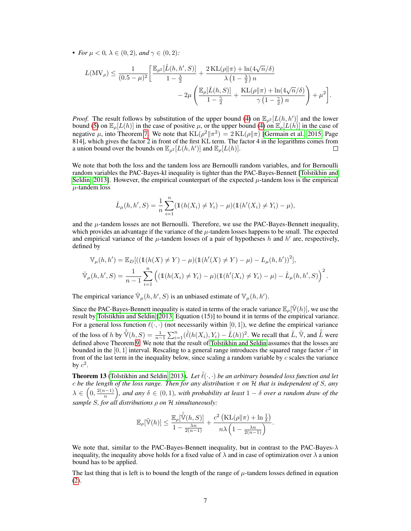• *For*  $\mu < 0$ ,  $\lambda \in (0, 2)$ *, and*  $\gamma \in (0, 2)$ *:* 

$$
\begin{split} L(\text{MV}_{\rho}) &\leq \frac{1}{(0.5-\mu)^2}\bigg[\frac{\mathbb{E}_{\rho^2}[\hat{L}(h,h',S)]}{1-\frac{\lambda}{2}}+\frac{2\,\text{KL}(\rho\|\pi)+\ln(4\sqrt{n}/\delta)}{\lambda\left(1-\frac{\lambda}{2}\right)n} \\ &-2\mu\left(\frac{\mathbb{E}_{\rho}[\hat{L}(h,S)]}{1-\frac{\gamma}{2}}+\frac{\text{KL}(\rho\|\pi)+\ln(4\sqrt{n}/\delta)}{\gamma\left(1-\frac{\gamma}{2}\right)n}\right)+\mu^2\bigg]. \end{split}
$$

*Proof.* The result follows by substitution of the upper bound [\(4\)](#page-5-0) on  $\mathbb{E}_{\rho^2}[L(h, h')]$  and the lower bound [\(5\)](#page-5-1) on  $\mathbb{E}_{\rho}[L(h)]$  in the case of positive  $\mu$ , or the upper bound [\(4\)](#page-5-0) on  $\mathbb{E}_{\rho}[L(h)]$  in the case of negative  $\mu$ , into Theorem [7.](#page-3-3) We note that  $KL(\rho^2 || \pi^2) = 2KL(\rho || \pi)$  [\[Germain et al., 2015,](#page-10-0) Page 814], which gives the factor 2 in front of the first KL term. The factor 4 in the logarithms comes from a union bound over the bounds on  $\mathbb{E}_{\rho^2}[L(h, h')]$  and  $\mathbb{E}_{\rho}[L(h)]$ . П

We note that both the loss and the tandem loss are Bernoulli random variables, and for Bernoulli random variables the PAC-Bayes-kl inequality is tighter than the PAC-Bayes-Bennett [\[Tolstikhin and](#page-11-11) [Seldin, 2013\]](#page-11-11). However, the empirical counterpart of the expected  $\mu$ -tandem loss is the empirical  $\mu$ -tandem loss

$$
\hat{L}_{\mu}(h, h', S) = \frac{1}{n} \sum_{i=1}^{n} (\mathbb{1}(h(X_i) \neq Y_i) - \mu)(\mathbb{1}(h'(X_i) \neq Y_i) - \mu),
$$

and the  $\mu$ -tandem losses are not Bernoulli. Therefore, we use the PAC-Bayes-Bennett inequality, which provides an advantage if the variance of the  $\mu$ -tandem losses happens to be small. The expected and empirical variance of the  $\mu$ -tandem losses of a pair of hypotheses h and h' are, respectively, defined by

$$
\mathbb{V}_{\mu}(h, h') = \mathbb{E}_{D} [((\mathbb{1}(h(X) \neq Y) - \mu)(\mathbb{1}(h'(X) \neq Y) - \mu) - L_{\mu}(h, h'))^{2}],
$$
  

$$
\hat{\mathbb{V}}_{\mu}(h, h', S) = \frac{1}{n-1} \sum_{i=1}^{n} ((\mathbb{1}(h(X_{i}) \neq Y_{i}) - \mu)(\mathbb{1}(h'(X_{i}) \neq Y_{i}) - \mu) - \hat{L}_{\mu}(h, h', S))^{2}.
$$

The empirical variance  $\hat{\mathbb{V}}_{\mu}(h, h', S)$  is an unbiased estimate of  $\mathbb{V}_{\mu}(h, h')$ .

Since the PAC-Bayes-Bennett inequality is stated in terms of the oracle variance  $\mathbb{E}_{\rho}[\tilde{V}(h)]$ , we use the result by [Tolstikhin and Seldin](#page-11-11) [\[2013,](#page-11-11) Equation (15)] to bound it in terms of the empirical variance. For a general loss function  $\ell(\cdot, \cdot)$  (not necessarily within [0, 1]), we define the empirical variance of the loss of h by  $\hat{\tilde{\mathbb{V}}}(h, S) = \frac{1}{n-1} \sum_{i=1}^n (\tilde{\ell}(h(X_i), Y_i) - \tilde{L}(h))^2$ . We recall that  $\tilde{L}$ ,  $\tilde{\mathbb{V}}$ , and  $\hat{\tilde{L}}$  were defined above Theorem [9.](#page-4-1) We note that the result of [Tolstikhin and Seldin](#page-11-11) assumes that the losses are bounded in the [0, 1] interval. Rescaling to a general range introduces the squared range factor  $c^2$  in front of the last term in the inequality below, since scaling a random variable by  $c$  scales the variance by  $c^2$ .

<span id="page-6-0"></span>**Theorem 13** [\(Tolstikhin and Seldin, 2013\)](#page-11-11). Let  $\tilde{\ell}(\cdot, \cdot)$  be an arbitrary bounded loss function and let c *be the length of the loss range. Then for any distribution* π *on* H *that is independent of* S*, any*  $\lambda \in (0, \frac{2(n-1)}{n})$ , and any  $\delta \in (0,1)$ , with probability at least  $1-\delta$  over a random draw of the *sample* S*, for all distributions* ρ *on* H *simultaneously:*

$$
\mathbb{E}_{\rho}[\tilde{\mathbb{V}}(h)] \leq \frac{\mathbb{E}_{\rho}[\hat{\tilde{\mathbb{V}}}(h,S)]}{1 - \frac{\lambda n}{2(n-1)}} + \frac{c^2 \left( \text{KL}(\rho || \pi) + \ln \frac{1}{\delta} \right)}{n \lambda \left( 1 - \frac{\lambda n}{2(n-1)} \right)}.
$$

We note that, similar to the PAC-Bayes-Bennett inequality, but in contrast to the PAC-Bayes- $\lambda$ inequality, the inequality above holds for a fixed value of  $\lambda$  and in case of optimization over  $\lambda$  a union bound has to be applied.

The last thing that is left is to bound the length of the range of  $\mu$ -tandem losses defined in equation [\(2\)](#page-4-2).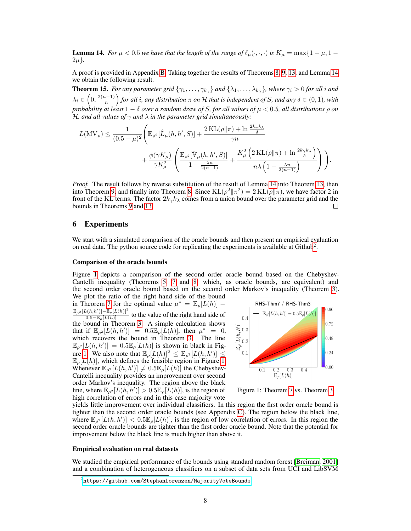<span id="page-7-0"></span>**Lemma 14.** *For*  $\mu < 0.5$  *we have that the length of the range of*  $\ell_{\mu}(\cdot, \cdot, \cdot)$  *is*  $K_{\mu} = \max\{1 - \mu, 1 - \mu\}$  $2\mu$ .

A proof is provided in Appendix [B.](#page--1-2) Taking together the results of Theorems [8,](#page-4-0) [9,](#page-4-1) [13,](#page-6-0) and Lemma [14](#page-7-0) we obtain the following result.

<span id="page-7-3"></span>**Theorem 15.** For any parameter grid  $\{\gamma_1, \dots, \gamma_{k_\gamma}\}\$  and  $\{\lambda_1, \dots, \lambda_{k_\lambda}\}\$ , where  $\gamma_i > 0$  for all i and  $\lambda_i\in\left(0,\frac{2(n-1)}{n}\right)$  for all i, any distribution  $\pi$  on  $\mathcal H$  that is independent of S, and any  $\delta\in(0,1)$ , with *probability at least* 1 − δ *over a random draw of* S*, for all values of* µ < 0.5*, all distributions* ρ *on* H*, and all values of* γ *and* λ *in the parameter grid simultaneously:*

$$
\begin{split} L(\text{MV}_{\rho}) &\leq \frac{1}{(0.5-\mu)^2}\Bigg(\mathbb{E}_{\rho^2}[\hat{L}_{\mu}(h,h',S)] + \frac{2\,\text{KL}(\rho\|\pi) + \ln\frac{2k_{\gamma}k_{\lambda}}{\delta}}{\gamma n} \\ &\quad + \frac{\phi(\gamma K_{\mu})}{\gamma K_{\mu}^2}\left(\frac{\mathbb{E}_{\rho^2}[\hat{\mathbb{V}}_{\mu}(h,h',S)]}{1-\frac{\lambda n}{2(n-1)}} + \frac{K_{\mu}^2\left(2\,\text{KL}(\rho\|\pi) + \ln\frac{2k_{\gamma}k_{\lambda}}{\delta}\right)}{n\lambda\left(1-\frac{\lambda n}{2(n-1)}\right)}\right)\Bigg). \end{split}
$$

*Proof.* The result follows by reverse substitution of the result of Lemma [14](#page-7-0) into Theorem [13,](#page-6-0) then into Theorem [9,](#page-4-1) and finally into Theorem [8.](#page-4-0) Since  $KL(\rho^2 || \pi^2) = 2 KL(\rho || \pi)$ , we have factor 2 in front of the KL terms. The factor  $2k_\gamma k_\lambda$  comes from a union bound over the parameter grid and the bounds in Theorems [9](#page-4-1) and [13.](#page-6-0)  $\Box$ 

## 6 Experiments

We start with a simulated comparison of the oracle bounds and then present an empirical evaluation on real data. The python source code for replicating the experiments is available at Github<sup>[2](#page-7-1)</sup>.

#### Comparison of the oracle bounds

Figure [1](#page-7-2) depicts a comparison of the second order oracle bound based on the Chebyshev-Cantelli inequality (Theorems [5,](#page-3-0) [7](#page-3-3) and [8,](#page-4-0) which, as oracle bounds, are equivalent) and the second order oracle bound based on the second order Markov's inequality (Theorem [3\)](#page-2-3). We plot the ratio of the right hand side of the bound

in Theorem [7](#page-3-3) for the optimal value  $\mu^* = \mathbb{E}_{\rho}[L(h)]$  –  $\frac{\mathbb{E}_{\rho^2}[L(h,h')] - \mathbb{E}_{\rho}[L(h)]^2}{0.5 - \mathbb{E}_{\rho}[L(h)]}$  to the value of the right hand side of  $\frac{p(1-p)}{0.5-\mathbb{E}_{\rho}[L(h)]}$  to the value of the right hand side of the bound in Theorem [3.](#page-2-3) A simple calculation shows that if  $\mathbb{E}_{\rho^2}[L(h, h')] = 0.5\mathbb{E}_{\rho}[\dot{L}(h)],$  then  $\mu^* = 0$ , which recovers the bound in Theorem [3.](#page-2-3) The line  $\mathbb{E}_{\rho^2}[L(h, h')] = 0.5\mathbb{E}_{\rho}[L(h)]$  is shown in black in Fig-ure [1.](#page-7-2) We also note that  $\mathbb{E}_{\rho}[L(h)]^2 \leq \mathbb{E}_{\rho^2}[L(h, h')] \leq$  $\mathbb{E}_{\rho}[L(h)]$ , which defines the feasible region in Figure [1.](#page-7-2) Whenever  $\mathbb{E}_{\rho^2}[L(h, h')] \neq 0.5 \mathbb{E}_{\rho}[L(h)]$  the Chebyshev-Cantelli inequality provides an improvement over second order Markov's inequality. The region above the black line, where  $\mathbb{E}_{\rho^2}[L(h, h')] > 0.5\mathbb{E}_{\rho}[\tilde{L}(h)]$ , is the region of high correlation of errors and in this case majority vote

<span id="page-7-2"></span>

Figure 1: Theorem [7](#page-3-3) vs. Theorem [3](#page-2-3)

yields little improvement over individual classifiers. In this region the first order oracle bound is tighter than the second order oracle bounds (see Appendix [C\)](#page--1-3). The region below the black line, where  $\mathbb{E}_{\rho^2}[L(h, h')] < 0.5\mathbb{E}_{\rho}[L(h)]$ , is the region of low correlation of errors. In this region the second order oracle bounds are tighter than the first order oracle bound. Note that the potential for improvement below the black line is much higher than above it.

#### Empirical evaluation on real datasets

We studied the empirical performance of the bounds using standard random forest [\[Breiman, 2001\]](#page-10-2) and a combination of heterogeneous classifiers on a subset of data sets from UCI and LibSVM

<span id="page-7-1"></span> $^{2}$ <https://github.com/StephanLorenzen/MajorityVoteBounds>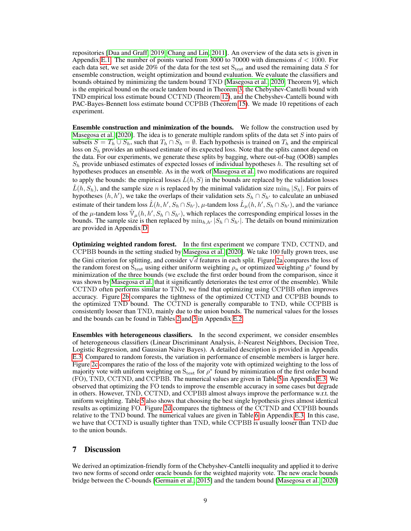repositories [\[Dua and Graff, 2019,](#page-10-14) [Chang and Lin, 2011\]](#page-10-15). An overview of the data sets is given in Appendix [E.1.](#page--1-4) The number of points varied from 3000 to 70000 with dimensions  $d < 1000$ . For each data set, we set aside 20% of the data for the test set  $S_{test}$  and used the remaining data S for ensemble construction, weight optimization and bound evaluation. We evaluate the classifiers and bounds obtained by minimizing the tandem bound TND [\[Masegosa et al., 2020,](#page-11-0) Theorem 9], which is the empirical bound on the oracle tandem bound in Theorem [3,](#page-2-3) the Chebyshev-Cantelli bound with TND empirical loss estimate bound CCTND (Theorem [12\)](#page-5-3), and the Chebyshev-Cantelli bound with PAC-Bayes-Bennett loss estimate bound CCPBB (Theorem [15\)](#page-7-3). We made 10 repetitions of each experiment.

Ensemble construction and minimization of the bounds. We follow the construction used by [Masegosa et al.](#page-11-0) [\[2020\]](#page-11-0). The idea is to generate multiple random splits of the data set  $S$  into pairs of subsets  $S = T_h \cup S_h$ , such that  $T_h \cap S_h = \emptyset$ . Each hypothesis is trained on  $T_h$  and the empirical loss on  $S_h$  provides an unbiased estimate of its expected loss. Note that the splits cannot depend on the data. For our experiments, we generate these splits by bagging, where out-of-bag (OOB) samples  $S_h$  provide unbiased estimates of expected losses of individual hypotheses h. The resulting set of hypotheses produces an ensemble. As in the work of [Masegosa et al.,](#page-11-0) two modifications are required to apply the bounds: the empirical losses  $\hat{L}(h, S)$  in the bounds are replaced by the validation losses  $\hat{L}(h, S_h)$ , and the sample size n is replaced by the minimal validation size  $\min_h |S_h|$ . For pairs of hypotheses  $(h, h')$ , we take the overlaps of their validation sets  $S_h \cap S_{h'}$  to calculate an unbiased estimate of their tandem loss  $\hat{L}(h, h', S_h \cap S_{h'})$ ,  $\mu$ -tandem loss  $\hat{L}_{\mu}(h, h', S_h \cap S_{h'})$ , and the variance of the  $\mu$ -tandem loss  $\hat{\mathbb{V}}_{\mu}(h, h', S_h \cap S_{h'})$ , which replaces the corresponding empirical losses in the bounds. The sample size is then replaced by  $\min_{h,h'} |S_h \cap S_{h'}|$ . The details on bound minimization are provided in Appendix [D.](#page--1-1)

Optimizing weighted random forest. In the first experiment we compare TND, CCTND, and CCPBB bounds in the setting studied by [Masegosa et al.](#page-11-0) [\[2020\]](#page-11-0). We take 100 fully grown trees, use the Gini criterion for splitting, and consider  $\sqrt{d}$  features in each split. Figure [2a](#page-9-0) compares the loss of the random forest on  $S_{\text{test}}$  using either uniform weighting  $\rho_u$  or optimized weighting  $\rho^*$  found by minimization of the three bounds (we exclude the first order bound from the comparison, since it was shown by [Masegosa et al.](#page-11-0) that it significantly deteriorates the test error of the ensemble). While CCTND often performs similar to TND, we find that optimizing using CCPBB often improves accuracy. Figure [2b](#page-9-0) compares the tightness of the optimized CCTND and CCPBB bounds to the optimized TND bound. The CCTND is generally comparable to TND, while CCPBB is consistently looser than TND, mainly due to the union bounds. The numerical values for the losses and the bounds can be found in Tables [2](#page--1-5) and [3](#page--1-6) in Appendix [E.2.](#page--1-7)

Ensembles with heterogeneous classifiers. In the second experiment, we consider ensembles of heterogeneous classifiers (Linear Discriminant Analysis, k-Nearest Neighbors, Decision Tree, Logistic Regression, and Gaussian Naive Bayes). A detailed description is provided in Appendix [E.3.](#page--1-8) Compared to random forests, the variation in performance of ensemble members is larger here. Figure [2c](#page-9-0) compares the ratio of the loss of the majority vote with optimized weighting to the loss of majority vote with uniform weighting on  $S_{test}$  for  $\rho^*$  found by minimization of the first order bound (FO), TND, CCTND, and CCPBB. The numerical values are given in Table [5](#page--1-6) in Appendix [E.3.](#page--1-8) We observed that optimizing the FO tends to improve the ensemble accuracy in some cases but degrade in others. However, TND, CCTND, and CCPBB almost always improve the performance w.r.t. the uniform weighting. Table [5](#page--1-6) also shows that choosing the best single hypothesis gives almost identical results as optimizing FO. Figure [2d](#page-9-0) compares the tightness of the CCTND and CCPBB bounds relative to the TND bound. The numerical values are given in Table [6](#page--1-9) in Appendix [E.3.](#page--1-8) In this case, we have that CCTND is usually tighter than TND, while CCPBB is usually looser than TND due to the union bounds.

# 7 Discussion

We derived an optimization-friendly form of the Chebyshev-Cantelli inequality and applied it to derive two new forms of second order oracle bounds for the weighted majority vote. The new oracle bounds bridge between the C-bounds [\[Germain et al., 2015\]](#page-10-0) and the tandem bound [\[Masegosa et al., 2020\]](#page-11-0)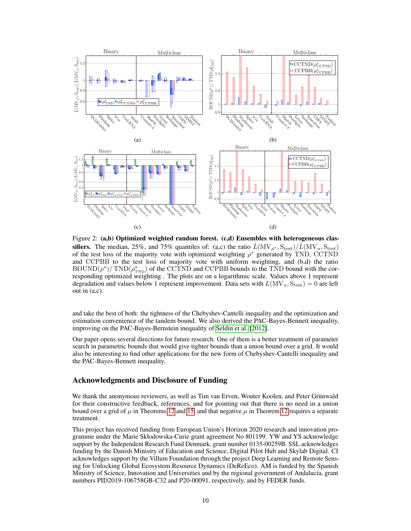<span id="page-9-0"></span>

Figure 2: (a,b) Optimized weighted random forest. (c,d) Ensembles with heterogeneous classifiers. The median, 25%, and 75% quantiles of: (a,c) the ratio  $\hat{L}(\text{MV}_{\rho^*}, S_{\text{test}})/\hat{L}(\text{MV}_{u}, S_{\text{test}})$ of the test loss of the majority vote with optimized weighting  $\rho^*$  generated by TND, CCTND and CCPBB to the test loss of majority vote with uniform weighting, and (b,d) the ratio  $\text{BOUND}(\rho^*)/\text{TND}(\rho^*_{\text{TND}})$  of the CCTND and CCPBB bounds to the TND bound with the corresponding optimized weighting . The plots are on a logarithmic scale. Values above 1 represent degradation and values below 1 represent improvement. Data sets with  $L(MV_u, S_{test}) = 0$  are left out in (a,c).

and take the best of both: the tightness of the Chebyshev-Cantelli inequality and the optimization and estimation convenience of the tandem bound. We also derived the PAC-Bayes-Bennett inequality, improving on the PAC-Bayes-Bernstein inequality of [Seldin et al.](#page-11-1) [\[2012\]](#page-11-1).

Our paper opens several directions for future research. One of them is a better treatment of parameter search in parametric bounds that would give tighter bounds than a union bound over a grid. It would also be interesting to find other applications for the new form of Chebyshev-Cantelli inequality and the PAC-Bayes-Bennett inequality.

### Acknowledgments and Disclosure of Funding

We thank the anonymous reviewers, as well as Tim van Erven, Wouter Koolen, and Peter Grünwald for their constructive feedback, references, and for pointing out that there is no need in a union bound over a grid of  $\mu$  in Theorems [12](#page-5-3) and [15,](#page-7-3) and that negative  $\mu$  in Theorem 12 requires a separate treatment.

This project has received funding from European Union's Horizon 2020 research and innovation programme under the Marie Skłodowska-Curie grant agreement No 801199. YW and YS acknowledge support by the Independent Research Fund Denmark, grant number 0135-00259B. SSL acknowledges funding by the Danish Ministry of Education and Science, Digital Pilot Hub and Skylab Digital. CI acknowledges support by the Villum Foundation through the project Deep Learning and Remote Sensing for Unlocking Global Ecosystem Resource Dynamics (DeReEco). AM is funded by the Spanish Ministry of Science, Innovation and Universities and by the regional government of Andalucía, grant numbers PID2019-106758GB-C32 and P20-00091, respectively, and by FEDER funds.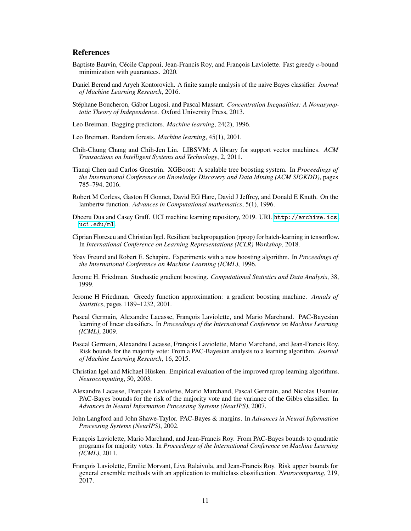# **References**

- <span id="page-10-13"></span>Baptiste Bauvin, Cécile Capponi, Jean-Francis Roy, and François Laviolette. Fast greedy c-bound minimization with guarantees. 2020.
- <span id="page-10-7"></span>Daniel Berend and Aryeh Kontorovich. A finite sample analysis of the naive Bayes classifier. *Journal of Machine Learning Research*, 2016.
- Stéphane Boucheron, Gábor Lugosi, and Pascal Massart. *Concentration Inequalities: A Nonasymptotic Theory of Independence*. Oxford University Press, 2013.
- <span id="page-10-1"></span>Leo Breiman. Bagging predictors. *Machine learning*, 24(2), 1996.
- <span id="page-10-2"></span>Leo Breiman. Random forests. *Machine learning*, 45(1), 2001.
- <span id="page-10-15"></span>Chih-Chung Chang and Chih-Jen Lin. LIBSVM: A library for support vector machines. *ACM Transactions on Intelligent Systems and Technology*, 2, 2011.
- <span id="page-10-6"></span>Tianqi Chen and Carlos Guestrin. XGBoost: A scalable tree boosting system. In *Proceedings of the International Conference on Knowledge Discovery and Data Mining (ACM SIGKDD)*, pages 785–794, 2016.
- Robert M Corless, Gaston H Gonnet, David EG Hare, David J Jeffrey, and Donald E Knuth. On the lambertw function. *Advances in Computational mathematics*, 5(1), 1996.
- <span id="page-10-14"></span>Dheeru Dua and Casey Graff. UCI machine learning repository, 2019. URL [http://archive.ics.](http://archive.ics.uci.edu/ml) [uci.edu/ml](http://archive.ics.uci.edu/ml).
- Ciprian Florescu and Christian Igel. Resilient backpropagation (rprop) for batch-learning in tensorflow. In *International Conference on Learning Representations (ICLR) Workshop*, 2018.
- <span id="page-10-3"></span>Yoav Freund and Robert E. Schapire. Experiments with a new boosting algorithm. In *Proceedings of the International Conference on Machine Learning (ICML)*, 1996.
- <span id="page-10-4"></span>Jerome H. Friedman. Stochastic gradient boosting. *Computational Statistics and Data Analysis*, 38, 1999.
- <span id="page-10-5"></span>Jerome H Friedman. Greedy function approximation: a gradient boosting machine. *Annals of Statistics*, pages 1189–1232, 2001.
- <span id="page-10-9"></span>Pascal Germain, Alexandre Lacasse, François Laviolette, and Mario Marchand. PAC-Bayesian learning of linear classifiers. In *Proceedings of the International Conference on Machine Learning (ICML)*, 2009.
- <span id="page-10-0"></span>Pascal Germain, Alexandre Lacasse, François Laviolette, Mario Marchand, and Jean-Francis Roy. Risk bounds for the majority vote: From a PAC-Bayesian analysis to a learning algorithm. *Journal of Machine Learning Research*, 16, 2015.
- Christian Igel and Michael Hüsken. Empirical evaluation of the improved rprop learning algorithms. *Neurocomputing*, 50, 2003.
- <span id="page-10-10"></span>Alexandre Lacasse, François Laviolette, Mario Marchand, Pascal Germain, and Nicolas Usunier. PAC-Bayes bounds for the risk of the majority vote and the variance of the Gibbs classifier. In *Advances in Neural Information Processing Systems (NeurIPS)*, 2007.
- <span id="page-10-8"></span>John Langford and John Shawe-Taylor. PAC-Bayes & margins. In *Advances in Neural Information Processing Systems (NeurIPS)*, 2002.
- <span id="page-10-11"></span>François Laviolette, Mario Marchand, and Jean-Francis Roy. From PAC-Bayes bounds to quadratic programs for majority votes. In *Proceedings of the International Conference on Machine Learning (ICML)*, 2011.
- <span id="page-10-12"></span>François Laviolette, Emilie Morvant, Liva Ralaivola, and Jean-Francis Roy. Risk upper bounds for general ensemble methods with an application to multiclass classification. *Neurocomputing*, 219, 2017.